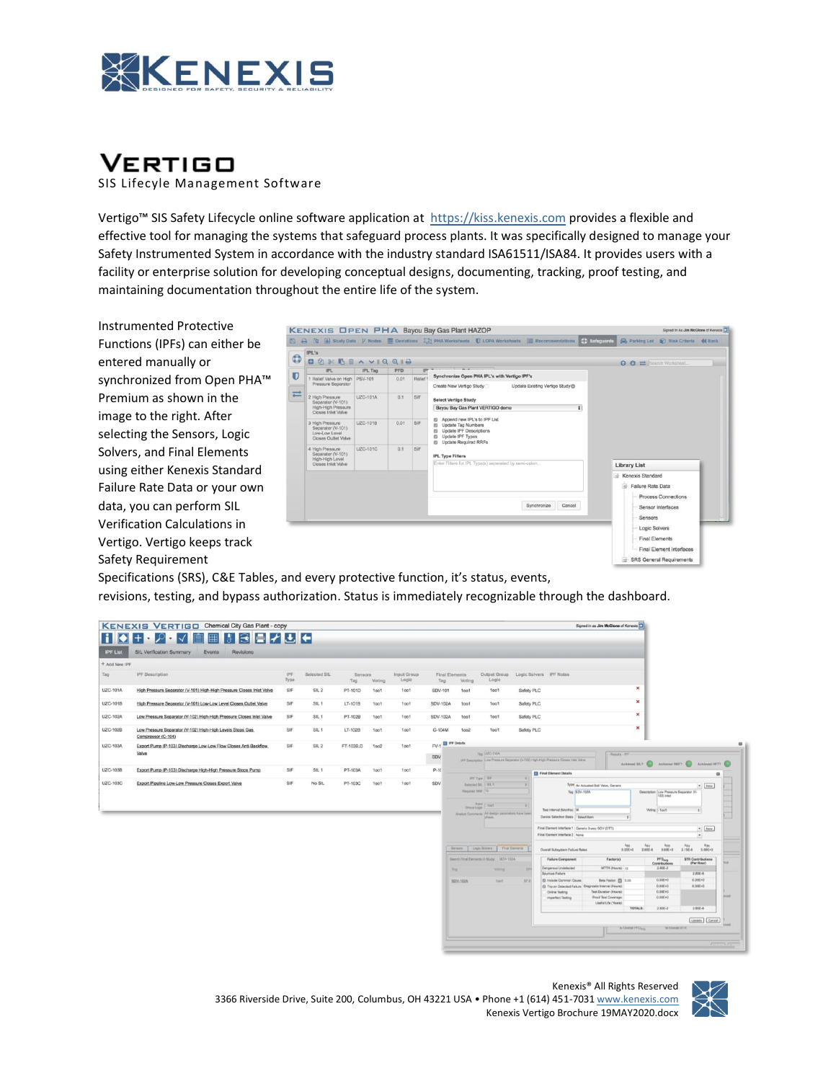

# **VERTIGO**

SIS Lifecyle Management Software

Vertigo™ SIS Safety Lifecycle online software application at [https://kiss.kenexis.com p](https://kiss.kenexis.com/)rovides a flexible and effective tool for managing the systems that safeguard process plants. It was specifically designed to manage your Safety Instrumented System in accordance with the industry standard ISA61511/ISA84. It provides users with a facility or enterprise solution for developing conceptual designs, documenting, tracking, proof testing, and maintaining documentation throughout the entire life of the system.

Instrumented Protective Functions (IPFs) can either be entered manually or synchronized from Open PHA™ Premium as shown in the image to the right. After selecting the Sensors, Logic Solvers, and Final Elements using either Kenexis Standard Failure Rate Data or your own data, you can perform SIL Verification Calculations in Vertigo. Vertigo keeps track Safety Requirement



Specifications (SRS), C&E Tables, and every protective function, it's status, events, revisions, testing, and bypass authorization. Status is immediately recognizable through the dashboard.



 Kenexis® All Rights Reserved 3366 Riverside Drive, Suite 200, Columbus, OH 43221 USA • Phone +1 (614) 451-7031 www.kenexis.com Kenexis Vertigo Brochure 19MAY2020.docx